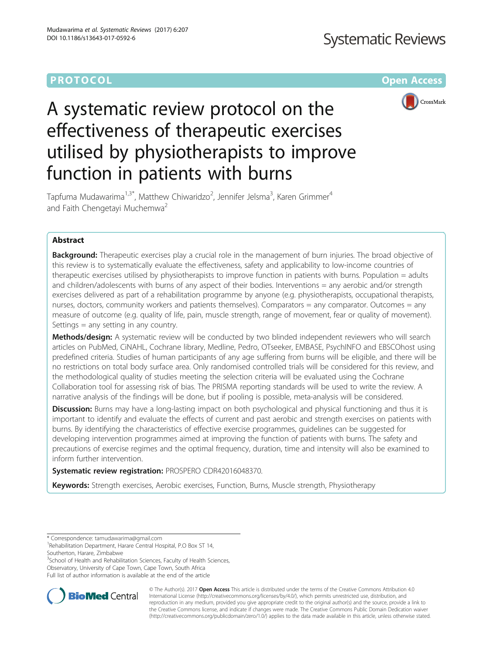## **PROTOCOL CONSUMING THE CONSUMING TEACHER CONSUMING THE CONSUMING TEACHER CONSUMING THE CONSUMING TEACHER CONSUMING**



# A systematic review protocol on the effectiveness of therapeutic exercises utilised by physiotherapists to improve function in patients with burns

Tapfuma Mudawarima $^{1,3^*}$ , Matthew Chiwaridzo<sup>2</sup>, Jennifer Jelsma<sup>3</sup>, Karen Grimmer<sup>4</sup> and Faith Chengetayi Muchemwa<sup>2</sup>

## Abstract

**Background:** Therapeutic exercises play a crucial role in the management of burn injuries. The broad objective of this review is to systematically evaluate the effectiveness, safety and applicability to low-income countries of therapeutic exercises utilised by physiotherapists to improve function in patients with burns. Population = adults and children/adolescents with burns of any aspect of their bodies. Interventions = any aerobic and/or strength exercises delivered as part of a rehabilitation programme by anyone (e.g. physiotherapists, occupational therapists, nurses, doctors, community workers and patients themselves). Comparators = any comparator. Outcomes = any measure of outcome (e.g. quality of life, pain, muscle strength, range of movement, fear or quality of movement). Settings = any setting in any country.

Methods/design: A systematic review will be conducted by two blinded independent reviewers who will search articles on PubMed, CiNAHL, Cochrane library, Medline, Pedro, OTseeker, EMBASE, PsychINFO and EBSCOhost using predefined criteria. Studies of human participants of any age suffering from burns will be eligible, and there will be no restrictions on total body surface area. Only randomised controlled trials will be considered for this review, and the methodological quality of studies meeting the selection criteria will be evaluated using the Cochrane Collaboration tool for assessing risk of bias. The PRISMA reporting standards will be used to write the review. A narrative analysis of the findings will be done, but if pooling is possible, meta-analysis will be considered.

**Discussion:** Burns may have a long-lasting impact on both psychological and physical functioning and thus it is important to identify and evaluate the effects of current and past aerobic and strength exercises on patients with burns. By identifying the characteristics of effective exercise programmes, guidelines can be suggested for developing intervention programmes aimed at improving the function of patients with burns. The safety and precautions of exercise regimes and the optimal frequency, duration, time and intensity will also be examined to inform further intervention.

## Systematic review registration: PROSPERO [CDR42016048370](https://www.crd.york.ac.uk/prospero/display_record.asp?ID=CRD42016048370).

Keywords: Strength exercises, Aerobic exercises, Function, Burns, Muscle strength, Physiotherapy

<sup>3</sup>School of Health and Rehabilitation Sciences, Faculty of Health Sciences, Observatory, University of Cape Town, Cape Town, South Africa

Full list of author information is available at the end of the article



© The Author(s). 2017 **Open Access** This article is distributed under the terms of the Creative Commons Attribution 4.0 International License [\(http://creativecommons.org/licenses/by/4.0/](http://creativecommons.org/licenses/by/4.0/)), which permits unrestricted use, distribution, and reproduction in any medium, provided you give appropriate credit to the original author(s) and the source, provide a link to the Creative Commons license, and indicate if changes were made. The Creative Commons Public Domain Dedication waiver [\(http://creativecommons.org/publicdomain/zero/1.0/](http://creativecommons.org/publicdomain/zero/1.0/)) applies to the data made available in this article, unless otherwise stated.

<sup>\*</sup> Correspondence: [tamudawarima@gmail.com](mailto:tamudawarima@gmail.com) <sup>1</sup>

<sup>&</sup>lt;sup>1</sup> Rehabilitation Department, Harare Central Hospital, P.O Box ST 14, Southerton, Harare, Zimbabwe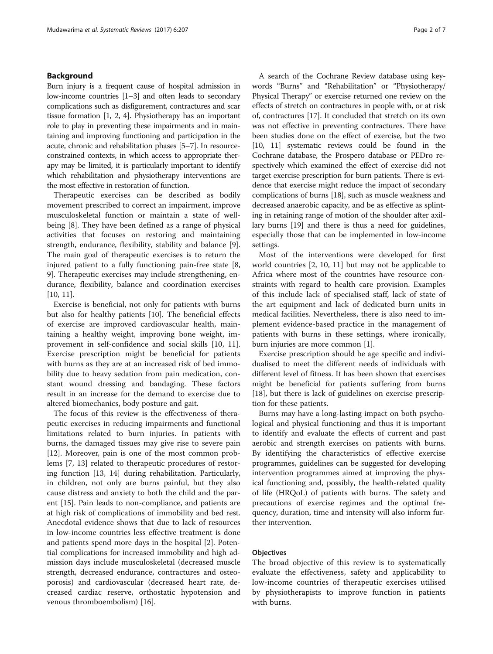## Background

Burn injury is a frequent cause of hospital admission in low-income countries [\[1](#page-5-0)–[3\]](#page-5-0) and often leads to secondary complications such as disfigurement, contractures and scar tissue formation [\[1, 2](#page-5-0), [4\]](#page-5-0). Physiotherapy has an important role to play in preventing these impairments and in maintaining and improving functioning and participation in the acute, chronic and rehabilitation phases [\[5](#page-5-0)–[7](#page-6-0)]. In resourceconstrained contexts, in which access to appropriate therapy may be limited, it is particularly important to identify which rehabilitation and physiotherapy interventions are the most effective in restoration of function.

Therapeutic exercises can be described as bodily movement prescribed to correct an impairment, improve musculoskeletal function or maintain a state of wellbeing [\[8](#page-6-0)]. They have been defined as a range of physical activities that focuses on restoring and maintaining strength, endurance, flexibility, stability and balance [\[9](#page-6-0)]. The main goal of therapeutic exercises is to return the injured patient to a fully functioning pain-free state [\[8](#page-6-0), [9\]](#page-6-0). Therapeutic exercises may include strengthening, endurance, flexibility, balance and coordination exercises [[10, 11\]](#page-6-0).

Exercise is beneficial, not only for patients with burns but also for healthy patients [[10](#page-6-0)]. The beneficial effects of exercise are improved cardiovascular health, maintaining a healthy weight, improving bone weight, improvement in self-confidence and social skills [[10, 11](#page-6-0)]. Exercise prescription might be beneficial for patients with burns as they are at an increased risk of bed immobility due to heavy sedation from pain medication, constant wound dressing and bandaging. These factors result in an increase for the demand to exercise due to altered biomechanics, body posture and gait.

The focus of this review is the effectiveness of therapeutic exercises in reducing impairments and functional limitations related to burn injuries. In patients with burns, the damaged tissues may give rise to severe pain [[12\]](#page-6-0). Moreover, pain is one of the most common problems [\[7](#page-6-0), [13\]](#page-6-0) related to therapeutic procedures of restoring function [[13, 14\]](#page-6-0) during rehabilitation. Particularly, in children, not only are burns painful, but they also cause distress and anxiety to both the child and the parent [\[15](#page-6-0)]. Pain leads to non-compliance, and patients are at high risk of complications of immobility and bed rest. Anecdotal evidence shows that due to lack of resources in low-income countries less effective treatment is done and patients spend more days in the hospital [[2\]](#page-5-0). Potential complications for increased immobility and high admission days include musculoskeletal (decreased muscle strength, decreased endurance, contractures and osteoporosis) and cardiovascular (decreased heart rate, decreased cardiac reserve, orthostatic hypotension and venous thromboembolism) [\[16\]](#page-6-0).

A search of the Cochrane Review database using keywords "Burns" and "Rehabilitation" or "Physiotherapy/ Physical Therapy" or exercise returned one review on the effects of stretch on contractures in people with, or at risk of, contractures [[17\]](#page-6-0). It concluded that stretch on its own was not effective in preventing contractures. There have been studies done on the effect of exercise, but the two [[10](#page-6-0), [11\]](#page-6-0) systematic reviews could be found in the Cochrane database, the Prospero database or PEDro respectively which examined the effect of exercise did not target exercise prescription for burn patients. There is evidence that exercise might reduce the impact of secondary complications of burns [[18\]](#page-6-0), such as muscle weakness and decreased anaerobic capacity, and be as effective as splinting in retaining range of motion of the shoulder after axillary burns [\[19\]](#page-6-0) and there is thus a need for guidelines, especially those that can be implemented in low-income settings.

Most of the interventions were developed for first world countries [\[2,](#page-5-0) [10](#page-6-0), [11\]](#page-6-0) but may not be applicable to Africa where most of the countries have resource constraints with regard to health care provision. Examples of this include lack of specialised staff, lack of state of the art equipment and lack of dedicated burn units in medical facilities. Nevertheless, there is also need to implement evidence-based practice in the management of patients with burns in these settings, where ironically, burn injuries are more common [[1\]](#page-5-0).

Exercise prescription should be age specific and individualised to meet the different needs of individuals with different level of fitness. It has been shown that exercises might be beneficial for patients suffering from burns [[18\]](#page-6-0), but there is lack of guidelines on exercise prescription for these patients.

Burns may have a long-lasting impact on both psychological and physical functioning and thus it is important to identify and evaluate the effects of current and past aerobic and strength exercises on patients with burns. By identifying the characteristics of effective exercise programmes, guidelines can be suggested for developing intervention programmes aimed at improving the physical functioning and, possibly, the health-related quality of life (HRQoL) of patients with burns. The safety and precautions of exercise regimes and the optimal frequency, duration, time and intensity will also inform further intervention.

#### **Objectives**

The broad objective of this review is to systematically evaluate the effectiveness, safety and applicability to low-income countries of therapeutic exercises utilised by physiotherapists to improve function in patients with burns.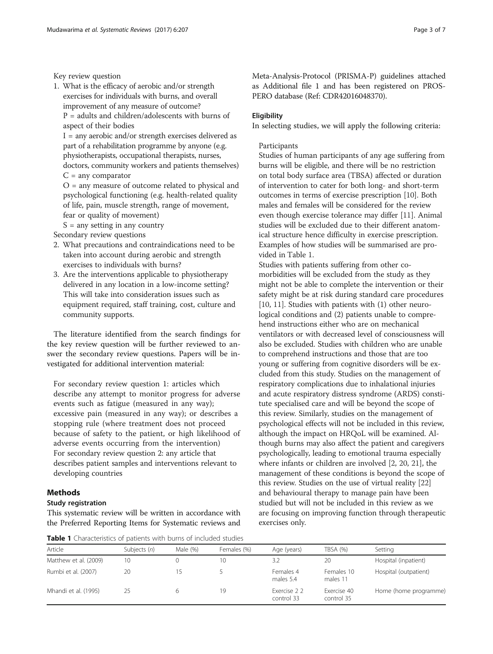1. What is the efficacy of aerobic and/or strength exercises for individuals with burns, and overall improvement of any measure of outcome?

 $P =$  adults and children/adolescents with burns of aspect of their bodies

 $I =$  any aerobic and/or strength exercises delivered as part of a rehabilitation programme by anyone (e.g. physiotherapists, occupational therapists, nurses, doctors, community workers and patients themselves)  $C =$ any comparator

O = any measure of outcome related to physical and psychological functioning (e.g. health-related quality of life, pain, muscle strength, range of movement, fear or quality of movement)

 $S =$  any setting in any country

Secondary review questions

- 2. What precautions and contraindications need to be taken into account during aerobic and strength exercises to individuals with burns?
- 3. Are the interventions applicable to physiotherapy delivered in any location in a low-income setting? This will take into consideration issues such as equipment required, staff training, cost, culture and community supports.

The literature identified from the search findings for the key review question will be further reviewed to answer the secondary review questions. Papers will be investigated for additional intervention material:

For secondary review question 1: articles which describe any attempt to monitor progress for adverse events such as fatigue (measured in any way); excessive pain (measured in any way); or describes a stopping rule (where treatment does not proceed because of safety to the patient, or high likelihood of adverse events occurring from the intervention) For secondary review question 2: any article that describes patient samples and interventions relevant to developing countries

## Methods

## Study registration

This systematic review will be written in accordance with the Preferred Reporting Items for Systematic reviews and

Table 1 Characteristics of patients with burns of included studies

Meta-Analysis-Protocol (PRISMA-P) guidelines attached as Additional file [1](#page-5-0) and has been registered on PROS-PERO database (Ref: CDR42016048370).

## **Eligibility**

In selecting studies, we will apply the following criteria:

## Participants

Studies of human participants of any age suffering from burns will be eligible, and there will be no restriction on total body surface area (TBSA) affected or duration of intervention to cater for both long- and short-term outcomes in terms of exercise prescription [[10\]](#page-6-0). Both males and females will be considered for the review even though exercise tolerance may differ [\[11\]](#page-6-0). Animal studies will be excluded due to their different anatomical structure hence difficulty in exercise prescription. Examples of how studies will be summarised are provided in Table 1.

Studies with patients suffering from other comorbidities will be excluded from the study as they might not be able to complete the intervention or their safety might be at risk during standard care procedures [[10,](#page-6-0) [11](#page-6-0)]. Studies with patients with (1) other neurological conditions and (2) patients unable to comprehend instructions either who are on mechanical ventilators or with decreased level of consciousness will also be excluded. Studies with children who are unable to comprehend instructions and those that are too young or suffering from cognitive disorders will be excluded from this study. Studies on the management of respiratory complications due to inhalational injuries and acute respiratory distress syndrome (ARDS) constitute specialised care and will be beyond the scope of this review. Similarly, studies on the management of psychological effects will not be included in this review, although the impact on HRQoL will be examined. Although burns may also affect the patient and caregivers psychologically, leading to emotional trauma especially where infants or children are involved [[2](#page-5-0), [20](#page-6-0), [21\]](#page-6-0), the management of these conditions is beyond the scope of this review. Studies on the use of virtual reality [[22](#page-6-0)] and behavioural therapy to manage pain have been studied but will not be included in this review as we are focusing on improving function through therapeutic exercises only.

| Article               | Subjects (n) | Male (%) | Females (%) | Age (years)                | TBSA (%)                  | Settina               |
|-----------------------|--------------|----------|-------------|----------------------------|---------------------------|-----------------------|
| Matthew et al. (2009) | 10           |          | 10          | 3.2                        | 20                        | Hospital (inpatient)  |
| Rumbi et al. (2007)   | 20           |          |             | Females 4<br>males 5.4     | Females 10<br>males 11    | Hospital (outpatient) |
| Mhandi et al. (1995)  | 25           |          | 19          | Exercise 2 2<br>control 33 | Exercise 40<br>control 35 | Home (home programme) |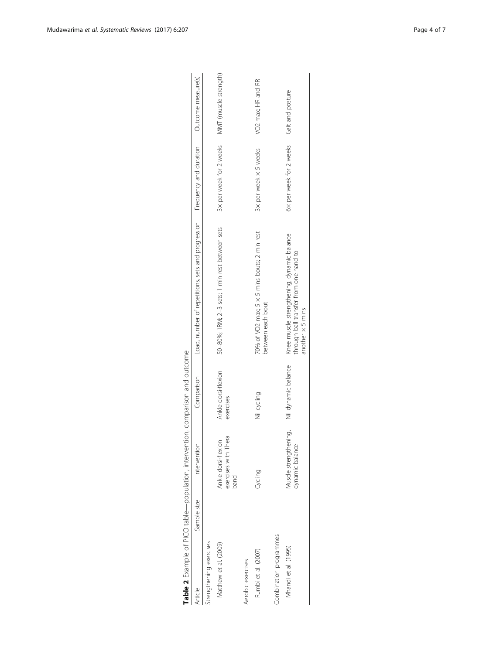<span id="page-3-0"></span>

| Article                 | Sample size | Intervention                                        | Comparison                       | Load, number of repetitions, sets and progression                                                               | Frequency and duration  | Outcome measure(s)    |
|-------------------------|-------------|-----------------------------------------------------|----------------------------------|-----------------------------------------------------------------------------------------------------------------|-------------------------|-----------------------|
| Strengthening exercises |             |                                                     |                                  |                                                                                                                 |                         |                       |
| Matthew et al. (2009)   |             | exercises with Thera<br>Ankle dorsi-flexion<br>band | Ankle dorsi-flexion<br>exercises | 50-80%; 1RM; 2-3 sets; 1 min rest between sets                                                                  | 3x per week for 2 weeks | MMT (muscle strength) |
| Aerobic exercises       |             |                                                     |                                  |                                                                                                                 |                         |                       |
| Rumbi et al. (2007)     |             | Cycling                                             | Nil cycling                      | 70% of VO2 max; 5 x 5 mins bouts; 2 min rest<br>between each bout                                               | 3X per week X 5 weeks   | VO2 max; HR and RR    |
| Combination programmes  |             |                                                     |                                  |                                                                                                                 |                         |                       |
| Mhandi et al. (1995)    |             | Muscle strengthening,<br>dynamic balance            | Nil dynamic balance              | Knee muscle strengthening, dynamic balance<br>through ball transfer from one hand to<br>another $\times$ 5 mins | 6x per week for 2 weeks | Gait and posture      |
|                         |             |                                                     |                                  |                                                                                                                 |                         |                       |

| ĺ<br>ī             |  |
|--------------------|--|
| ļ                  |  |
| í<br>j             |  |
|                    |  |
| ţ                  |  |
| comon<br>)         |  |
|                    |  |
|                    |  |
|                    |  |
|                    |  |
|                    |  |
|                    |  |
| )<br>J             |  |
|                    |  |
|                    |  |
|                    |  |
| l<br>h             |  |
|                    |  |
|                    |  |
| .<br>.<br>.        |  |
| ).                 |  |
|                    |  |
| i                  |  |
| J<br>ì             |  |
|                    |  |
|                    |  |
|                    |  |
|                    |  |
| j                  |  |
|                    |  |
| $\frac{1}{2}$      |  |
|                    |  |
|                    |  |
| Í                  |  |
| Ï                  |  |
|                    |  |
|                    |  |
| ļ                  |  |
|                    |  |
|                    |  |
|                    |  |
| )<br>l             |  |
|                    |  |
|                    |  |
| $\frac{1}{2}$<br>3 |  |
|                    |  |
| J                  |  |
| j<br>I             |  |
|                    |  |
| I                  |  |
|                    |  |
| j<br>١             |  |
|                    |  |
| I                  |  |
|                    |  |
|                    |  |
| i                  |  |
|                    |  |
|                    |  |
| t                  |  |
|                    |  |
|                    |  |
| $\geq$             |  |
|                    |  |
|                    |  |
|                    |  |
| ı                  |  |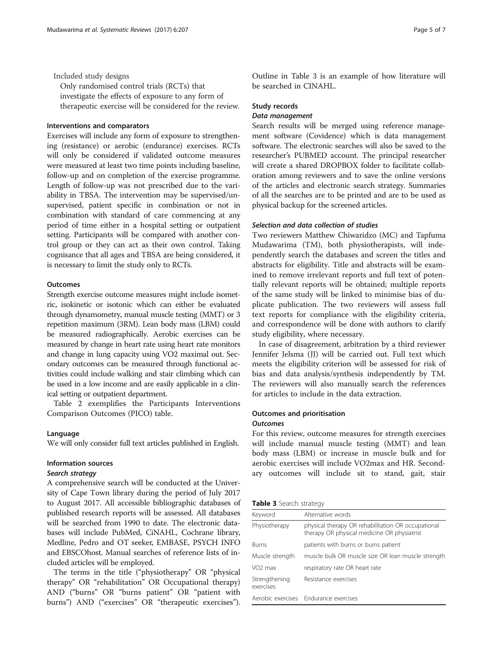Included study designs

Only randomised control trials (RCTs) that investigate the effects of exposure to any form of therapeutic exercise will be considered for the review.

#### Interventions and comparators

Exercises will include any form of exposure to strengthening (resistance) or aerobic (endurance) exercises. RCTs will only be considered if validated outcome measures were measured at least two time points including baseline, follow-up and on completion of the exercise programme. Length of follow-up was not prescribed due to the variability in TBSA. The intervention may be supervised/unsupervised, patient specific in combination or not in combination with standard of care commencing at any period of time either in a hospital setting or outpatient setting. Participants will be compared with another control group or they can act as their own control. Taking cognisance that all ages and TBSA are being considered, it is necessary to limit the study only to RCTs.

#### **Outcomes**

Strength exercise outcome measures might include isometric, isokinetic or isotonic which can either be evaluated through dynamometry, manual muscle testing (MMT) or 3 repetition maximum (3RM). Lean body mass (LBM) could be measured radiographically. Aerobic exercises can be measured by change in heart rate using heart rate monitors and change in lung capacity using VO2 maximal out. Secondary outcomes can be measured through functional activities could include walking and stair climbing which can be used in a low income and are easily applicable in a clinical setting or outpatient department.

Table [2](#page-3-0) exemplifies the Participants Interventions Comparison Outcomes (PICO) table.

#### Language

We will only consider full text articles published in English.

#### Information sources

#### Search strategy

A comprehensive search will be conducted at the University of Cape Town library during the period of July 2017 to August 2017. All accessible bibliographic databases of published research reports will be assessed. All databases will be searched from 1990 to date. The electronic databases will include PubMed, CiNAHL, Cochrane library, Medline, Pedro and OT seeker, EMBASE, PSYCH INFO and EBSCOhost. Manual searches of reference lists of included articles will be employed.

The terms in the title ("physiotherapy" OR "physical therapy" OR "rehabilitation" OR Occupational therapy) AND ("burns" OR "burns patient" OR "patient with burns") AND ("exercises" OR "therapeutic exercises").

Outline in Table 3 is an example of how literature will be searched in CINAHL.

#### Study records

## Data management

Search results will be merged using reference management software (Covidence) which is data management software. The electronic searches will also be saved to the researcher's PUBMED account. The principal researcher will create a shared DROPBOX folder to facilitate collaboration among reviewers and to save the online versions of the articles and electronic search strategy. Summaries of all the searches are to be printed and are to be used as physical backup for the screened articles.

#### Selection and data collection of studies

Two reviewers Matthew Chiwaridzo (MC) and Tapfuma Mudawarima (TM), both physiotherapists, will independently search the databases and screen the titles and abstracts for eligibility. Title and abstracts will be examined to remove irrelevant reports and full text of potentially relevant reports will be obtained; multiple reports of the same study will be linked to minimise bias of duplicate publication. The two reviewers will assess full text reports for compliance with the eligibility criteria, and correspondence will be done with authors to clarify study eligibility, where necessary.

In case of disagreement, arbitration by a third reviewer Jennifer Jelsma (JJ) will be carried out. Full text which meets the eligibility criterion will be assessed for risk of bias and data analysis/synthesis independently by TM. The reviewers will also manually search the references for articles to include in the data extraction.

#### Outcomes and prioritisation

## **Outcomes**

For this review, outcome measures for strength exercises will include manual muscle testing (MMT) and lean body mass (LBM) or increase in muscle bulk and for aerobic exercises will include VO2max and HR. Secondary outcomes will include sit to stand, gait, stair

|  |  |  | Table 3 Search strategy |
|--|--|--|-------------------------|
|--|--|--|-------------------------|

| Keyword                    | Alternative words                                                                                 |
|----------------------------|---------------------------------------------------------------------------------------------------|
| Physiotherapy              | physical therapy OR rehabilitation OR occupational<br>therapy OR physical medicine OR physiatrist |
| <b>Burns</b>               | patients with burns or burns patient                                                              |
| Muscle strength            | muscle bulk OR muscle size OR lean muscle strength                                                |
| VO <sub>2</sub> max        | respiratory rate OR heart rate                                                                    |
| Strengthening<br>exercises | Resistance exercises                                                                              |
|                            | Aerobic exercises Endurance exercises                                                             |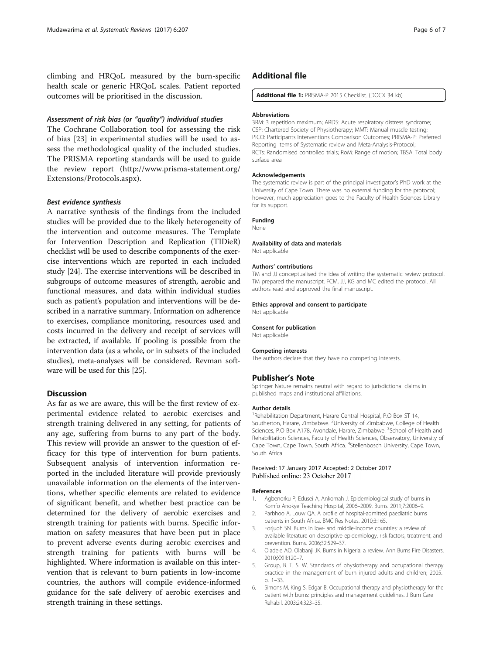<span id="page-5-0"></span>climbing and HRQoL measured by the burn-specific health scale or generic HRQoL scales. Patient reported outcomes will be prioritised in the discussion.

#### Assessment of risk bias (or "quality") individual studies

The Cochrane Collaboration tool for assessing the risk of bias [\[23](#page-6-0)] in experimental studies will be used to assess the methodological quality of the included studies. The PRISMA reporting standards will be used to guide the review report [\(http://www.prisma-statement.org/](http://www.prisma-statement.org/Extensions/Protocols.aspx) [Extensions/Protocols.aspx](http://www.prisma-statement.org/Extensions/Protocols.aspx)).

#### Best evidence synthesis

A narrative synthesis of the findings from the included studies will be provided due to the likely heterogeneity of the intervention and outcome measures. The Template for Intervention Description and Replication (TIDieR) checklist will be used to describe components of the exercise interventions which are reported in each included study [\[24\]](#page-6-0). The exercise interventions will be described in subgroups of outcome measures of strength, aerobic and functional measures, and data within individual studies such as patient's population and interventions will be described in a narrative summary. Information on adherence to exercises, compliance monitoring, resources used and costs incurred in the delivery and receipt of services will be extracted, if available. If pooling is possible from the intervention data (as a whole, or in subsets of the included studies), meta-analyses will be considered. Revman software will be used for this [\[25\]](#page-6-0).

## Discussion

As far as we are aware, this will be the first review of experimental evidence related to aerobic exercises and strength training delivered in any setting, for patients of any age, suffering from burns to any part of the body. This review will provide an answer to the question of efficacy for this type of intervention for burn patients. Subsequent analysis of intervention information reported in the included literature will provide previously unavailable information on the elements of the interventions, whether specific elements are related to evidence of significant benefit, and whether best practice can be determined for the delivery of aerobic exercises and strength training for patients with burns. Specific information on safety measures that have been put in place to prevent adverse events during aerobic exercises and strength training for patients with burns will be highlighted. Where information is available on this intervention that is relevant to burn patients in low-income countries, the authors will compile evidence-informed guidance for the safe delivery of aerobic exercises and strength training in these settings.

## Additional file

[Additional file 1:](dx.doi.org/10.1186/s13643-017-0592-6) PRISMA-P 2015 Checklist. (DOCX 34 kb)

#### Abbreviations

3RM: 3 repetition maximum; ARDS: Acute respiratory distress syndrome; CSP: Chartered Society of Physiotherapy; MMT: Manual muscle testing; PICO: Participants Interventions Comparison Outcomes; PRISMA-P: Preferred Reporting Items of Systematic review and Meta-Analysis-Protocol; RCTs: Randomised controlled trials; RoM: Range of motion; TBSA: Total body surface area

#### Acknowledgements

The systematic review is part of the principal investigator's PhD work at the University of Cape Town. There was no external funding for the protocol; however, much appreciation goes to the Faculty of Health Sciences Library for its support.

#### Funding

None

#### Availability of data and materials

Not applicable

#### Authors' contributions

TM and JJ conceptualised the idea of writing the systematic review protocol. TM prepared the manuscript. FCM, JJ, KG and MC edited the protocol. All authors read and approved the final manuscript.

#### Ethics approval and consent to participate

Not applicable

#### Consent for publication Not applicable

#### Competing interests

The authors declare that they have no competing interests.

#### Publisher's Note

Springer Nature remains neutral with regard to jurisdictional claims in published maps and institutional affiliations.

#### Author details

<sup>1</sup> Rehabilitation Department, Harare Central Hospital, P.O Box ST 14 Southerton, Harare, Zimbabwe. <sup>2</sup>University of Zimbabwe, College of Health Sciences, P.O Box A178, Avondale, Harare, Zimbabwe. <sup>3</sup>School of Health and Rehabilitation Sciences, Faculty of Health Sciences, Observatory, University of Cape Town, Cape Town, South Africa. <sup>4</sup>Stellenbosch University, Cape Town South Africa.

#### Received: 17 January 2017 Accepted: 2 October 2017 Published online: 23 October 2017

#### References

- 1. Agbenorku P, Edusei A, Ankomah J. Epidemiological study of burns in Komfo Anokye Teaching Hospital, 2006–2009. Burns. 2011;7:2006–9.
- 2. Parbhoo A, Louw QA. A profile of hospital-admitted paediatric burns patients in South Africa. BMC Res Notes. 2010;3:165.
- 3. Forjuoh SN. Burns in low- and middle-income countries: a review of available literature on descriptive epidemiology, risk factors, treatment, and prevention. Burns. 2006;32:529–37.
- 4. Oladele AO, Olabanji JK. Burns in Nigeria: a review. Ann Burns Fire Disasters. 2010;XXIII:120–7.
- 5. Group, B. T. S. W. Standards of physiotherapy and occupational therapy practice in the management of burn injured adults and children; 2005. p. 1–33.
- 6. Simons M, King S, Edgar B. Occupational therapy and physiotherapy for the patient with burns: principles and management guidelines. J Burn Care Rehabil. 2003;24:323–35.